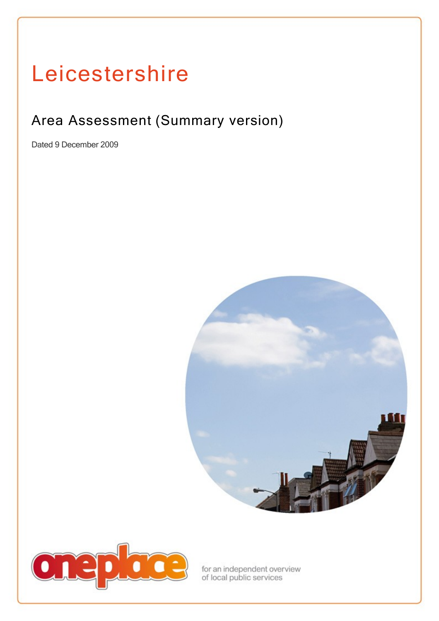# Leicestershire

# Area Assessment (Summary version)

Dated 9 December 2009





for an independent overview<br>of local public services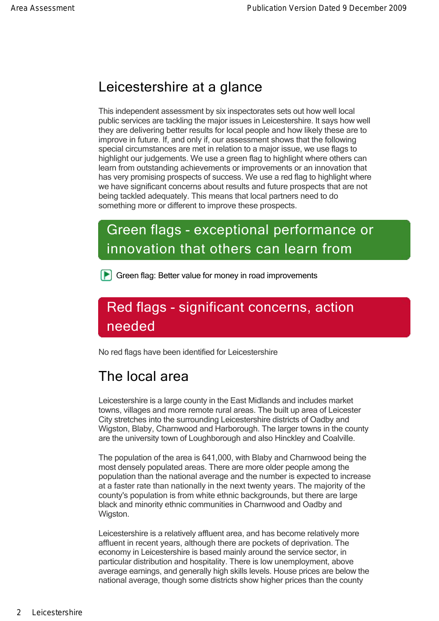#### Leicestershire at a glance

This independent assessment by six inspectorates sets out how well local public services are tackling the major issues in Leicestershire. It says how well they are delivering better results for local people and how likely these are to improve in future. If, and only if, our assessment shows that the following special circumstances are met in relation to a major issue, we use flags to highlight our judgements. We use a green flag to highlight where others can learn from outstanding achievements or improvements or an innovation that has very promising prospects of success. We use a red flag to highlight where we have significant concerns about results and future prospects that are not being tackled adequately. This means that local partners need to do something more or different to improve these prospects.

# Green flags - exceptional performance or innovation that others can learn from

**F** Green flag: Better value for money in road improvements

# Red flags - significant concerns, action needed

No red flags have been identified for Leicestershire

#### The local area

Leicestershire is a large county in the East Midlands and includes market towns, villages and more remote rural areas. The built up area of Leicester City stretches into the surrounding Leicestershire districts of Oadby and Wigston, Blaby, Charnwood and Harborough. The larger towns in the county are the university town of Loughborough and also Hinckley and Coalville.

The population of the area is 641,000, with Blaby and Charnwood being the most densely populated areas. There are more older people among the population than the national average and the number is expected to increase at a faster rate than nationally in the next twenty years. The majority of the county's population is from white ethnic backgrounds, but there are large black and minority ethnic communities in Charnwood and Oadby and Wigston.

Leicestershire is a relatively affluent area, and has become relatively more affluent in recent years, although there are pockets of deprivation. The economy in Leicestershire is based mainly around the service sector, in particular distribution and hospitality. There is low unemployment, above average earnings, and generally high skills levels. House prices are below the national average, though some districts show higher prices than the county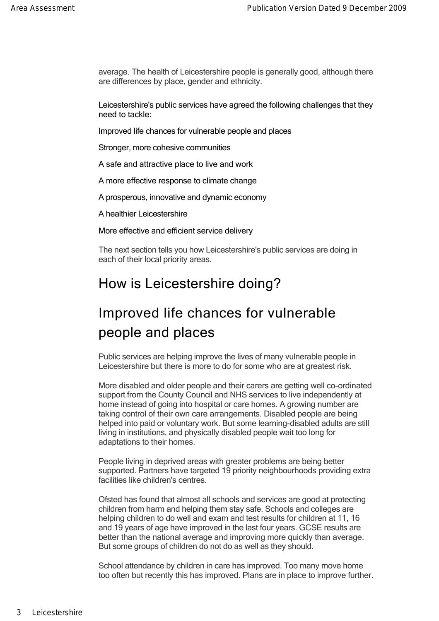average. The health of Leicestershire people is generally good, although there are differences by place, gender and ethnicity.

national average, though some districts show higher prices than the county

Leicestershire's public services have agreed the following challenges that they need to tackle:

Improved life chances for vulnerable people and places

Stronger, more cohesive communities

A safe and attractive place to live and work

A more effective response to climate change

A prosperous, innovative and dynamic economy

A healthier Leicestershire

More effective and efficient service delivery

The next section tells you how Leicestershire's public services are doing in each of their local priority areas.

#### How is Leicestershire doing?

#### Improved life chances for vulnerable people and places

Public services are helping improve the lives of many vulnerable people in Leicestershire but there is more to do for some who are at greatest risk.

More disabled and older people and their carers are getting well co-ordinated support from the County Council and NHS services to live independently at home instead of going into hospital or care homes. A growing number are taking control of their own care arrangements. Disabled people are being helped into paid or voluntary work. But some learning-disabled adults are still living in institutions, and physically disabled people wait too long for adaptations to their homes.

People living in deprived areas with greater problems are being better supported. Partners have targeted 19 priority neighbourhoods providing extra facilities like children's centres.

Ofsted has found that almost all schools and services are good at protecting children from harm and helping them stay safe. Schools and colleges are helping children to do well and exam and test results for children at 11, 16 and 19 years of age have improved in the last four years. GCSE results are better than the national average and improving more quickly than average. But some groups of children do not do as well as they should.

School attendance by children in care has improved. Too many move home too often but recently this has improved. Plans are in place to improve further.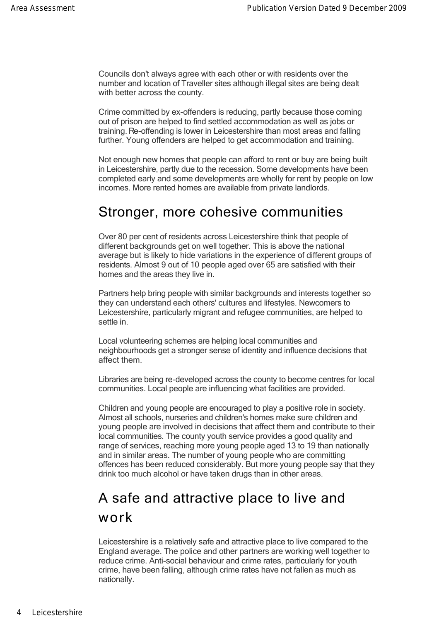Councils don't always agree with each other or with residents over the number and location of Traveller sites although illegal sites are being dealt with better across the county.

Crime committed by ex-offenders is reducing, partly because those coming out of prison are helped to find settled accommodation as well as jobs or training. Re-offending is lower in Leicestershire than most areas and falling further. Young offenders are helped to get accommodation and training.

Not enough new homes that people can afford to rent or buy are being built in Leicestershire, partly due to the recession. Some developments have been completed early and some developments are wholly for rent by people on low incomes. More rented homes are available from private landlords.

#### Stronger, more cohesive communities

Over 80 per cent of residents across Leicestershire think that people of different backgrounds get on well together. This is above the national average but is likely to hide variations in the experience of different groups of residents. Almost 9 out of 10 people aged over 65 are satisfied with their homes and the areas they live in.

Partners help bring people with similar backgrounds and interests together so they can understand each others' cultures and lifestyles. Newcomers to Leicestershire, particularly migrant and refugee communities, are helped to settle in.

Local volunteering schemes are helping local communities and neighbourhoods get a stronger sense of identity and influence decisions that affect them.

Libraries are being re-developed across the county to become centres for local communities. Local people are influencing what facilities are provided.

Children and young people are encouraged to play a positive role in society. Almost all schools, nurseries and children's homes make sure children and young people are involved in decisions that affect them and contribute to their local communities. The county youth service provides a good quality and range of services, reaching more young people aged 13 to 19 than nationally and in similar areas. The number of young people who are committing offences has been reduced considerably. But more young people say that they drink too much alcohol or have taken drugs than in other areas.

#### A safe and attractive place to live and work

Leicestershire is a relatively safe and attractive place to live compared to the England average. The police and other partners are working well together to reduce crime. Anti-social behaviour and crime rates, particularly for youth crime, have been falling, although crime rates have not fallen as much as nationally.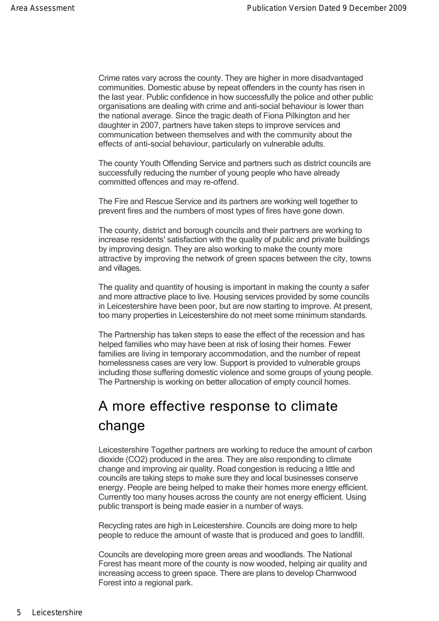Crime rates vary across the county. They are higher in more disadvantaged communities. Domestic abuse by repeat offenders in the county has risen in the last year. Public confidence in how successfully the police and other public organisations are dealing with crime and anti-social behaviour is lower than the national average. Since the tragic death of Fiona Pilkington and her daughter in 2007, partners have taken steps to improve services and communication between themselves and with the community about the effects of anti-social behaviour, particularly on vulnerable adults.

The county Youth Offending Service and partners such as district councils are successfully reducing the number of young people who have already committed offences and may re-offend.

The Fire and Rescue Service and its partners are working well together to prevent fires and the numbers of most types of fires have gone down.

The county, district and borough councils and their partners are working to increase residents' satisfaction with the quality of public and private buildings by improving design. They are also working to make the county more attractive by improving the network of green spaces between the city, towns and villages.

The quality and quantity of housing is important in making the county a safer and more attractive place to live. Housing services provided by some councils in Leicestershire have been poor, but are now starting to improve. At present, too many properties in Leicestershire do not meet some minimum standards.

The Partnership has taken steps to ease the effect of the recession and has helped families who may have been at risk of losing their homes. Fewer families are living in temporary accommodation, and the number of repeat homelessness cases are very low. Support is provided to vulnerable groups including those suffering domestic violence and some groups of young people. The Partnership is working on better allocation of empty council homes.

## A more effective response to climate change

Leicestershire Together partners are working to reduce the amount of carbon dioxide (CO2) produced in the area. They are also responding to climate change and improving air quality. Road congestion is reducing a little and councils are taking steps to make sure they and local businesses conserve energy. People are being helped to make their homes more energy efficient. Currently too many houses across the county are not energy efficient. Using public transport is being made easier in a number of ways.

Recycling rates are high in Leicestershire. Councils are doing more to help people to reduce the amount of waste that is produced and goes to landfill.

Councils are developing more green areas and woodlands. The National Forest has meant more of the county is now wooded, helping air quality and increasing access to green space. There are plans to develop Charnwood Forest into a regional park.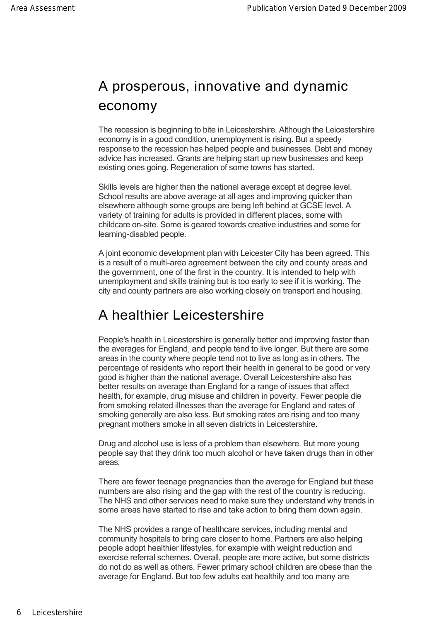# A prosperous, innovative and dynamic economy

The recession is beginning to bite in Leicestershire. Although the Leicestershire economy is in a good condition, unemployment is rising. But a speedy response to the recession has helped people and businesses. Debt and money advice has increased. Grants are helping start up new businesses and keep existing ones going. Regeneration of some towns has started.

Skills levels are higher than the national average except at degree level. School results are above average at all ages and improving quicker than elsewhere although some groups are being left behind at GCSE level. A variety of training for adults is provided in different places, some with childcare on-site. Some is geared towards creative industries and some for learning-disabled people.

A joint economic development plan with Leicester City has been agreed. This is a result of a multi-area agreement between the city and county areas and the government, one of the first in the country. It is intended to help with unemployment and skills training but is too early to see if it is working. The city and county partners are also working closely on transport and housing.

#### A healthier Leicestershire

People's health in Leicestershire is generally better and improving faster than the averages for England, and people tend to live longer. But there are some areas in the county where people tend not to live as long as in others. The percentage of residents who report their health in general to be good or very good is higher than the national average. Overall Leicestershire also has better results on average than England for a range of issues that affect health, for example, drug misuse and children in poverty. Fewer people die from smoking related illnesses than the average for England and rates of smoking generally are also less. But smoking rates are rising and too many pregnant mothers smoke in all seven districts in Leicestershire.

Drug and alcohol use is less of a problem than elsewhere. But more young people say that they drink too much alcohol or have taken drugs than in other areas.

There are fewer teenage pregnancies than the average for England but these numbers are also rising and the gap with the rest of the country is reducing. The NHS and other services need to make sure they understand why trends in some areas have started to rise and take action to bring them down again.

The NHS provides a range of healthcare services, including mental and community hospitals to bring care closer to home. Partners are also helping people adopt healthier lifestyles, for example with weight reduction and exercise referral schemes. Overall, people are more active, but some districts do not do as well as others. Fewer primary school children are obese than the average for England. But too few adults eat healthily and too many are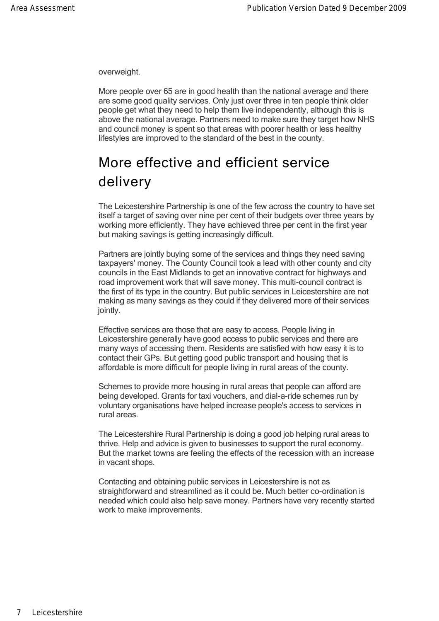average for England. But too few adults eat healthily and too many are overweight.

More people over 65 are in good health than the national average and there are some good quality services. Only just over three in ten people think older people get what they need to help them live independently, although this is above the national average. Partners need to make sure they target how NHS and council money is spent so that areas with poorer health or less healthy lifestyles are improved to the standard of the best in the county.

## More effective and efficient service delivery

The Leicestershire Partnership is one of the few across the country to have set itself a target of saving over nine per cent of their budgets over three years by working more efficiently. They have achieved three per cent in the first year but making savings is getting increasingly difficult.

Partners are jointly buying some of the services and things they need saving taxpayers' money. The County Council took a lead with other county and city councils in the East Midlands to get an innovative contract for highways and road improvement work that will save money. This multi-council contract is the first of its type in the country. But public services in Leicestershire are not making as many savings as they could if they delivered more of their services jointly.

Effective services are those that are easy to access. People living in Leicestershire generally have good access to public services and there are many ways of accessing them. Residents are satisfied with how easy it is to contact their GPs. But getting good public transport and housing that is affordable is more difficult for people living in rural areas of the county.

Schemes to provide more housing in rural areas that people can afford are being developed. Grants for taxi vouchers, and dial-a-ride schemes run by voluntary organisations have helped increase people's access to services in rural areas.

The Leicestershire Rural Partnership is doing a good job helping rural areas to thrive. Help and advice is given to businesses to support the rural economy. But the market towns are feeling the effects of the recession with an increase in vacant shops.

Contacting and obtaining public services in Leicestershire is not as straightforward and streamlined as it could be. Much better co-ordination is needed which could also help save money. Partners have very recently started work to make improvements.